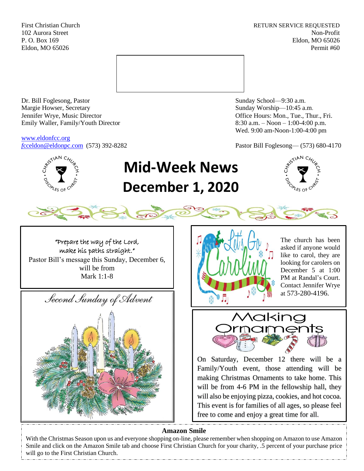First Christian Church **RETURN SERVICE REQUESTED** 102 Aurora Street Non-Profit P. O. Box 169 Eldon, MO 65026 Eldon, MO 65026 Permit #60



Dr. Bill Foglesong, Pastor Sunday School—9:30 a.m. Margie Howser, Secretary Sunday Worship—10:45 a.m. Jennifer Wrye, Music Director Office Hours: Mon., Tue., Thur., Fri. Emily Waller, Family/Youth Director 8:30 a.m. – Noon – 1:00-4:00 p.m.

[www.eldonfcc.org](http://www.eldonfcc.org/)

Wed. 9:00 am-Noon-1:00-4:00 pm

*f*[cceldon@eldonpc.com](mailto:fcceldon@eldonpc.com) (573) 392-8282 Pastor Bill Foglesong— (573) 680-4170



# **Mid-Week News December 1, 2020**



"Prepare the way of the Lord, make his paths straight." Pastor Bill's message this Sunday, December 6, will be from Mark 1:1-8





The church has been asked if anyone would like to carol, they are looking for carolers on December 5 at 1:00 PM at Randal's Court. Contact Jennifer Wrye at 573-280-4196.



On Saturday, December 12 there will be a Family/Youth event, those attending will be making Christmas Ornaments to take home. This will be from 4-6 PM in the fellowship hall, they will also be enjoying pizza, cookies, and hot cocoa. This event is for families of all ages, so please feel free to come and enjoy a great time for all.

## **Amazon Smile**

With the Christmas Season upon us and everyone shopping on-line, please remember when shopping on Amazon to use Amazon Smile and click on the Amazon Smile tab and choose First Christian Church for your charity, .5 percent of your purchase price will go to the First Christian Church.